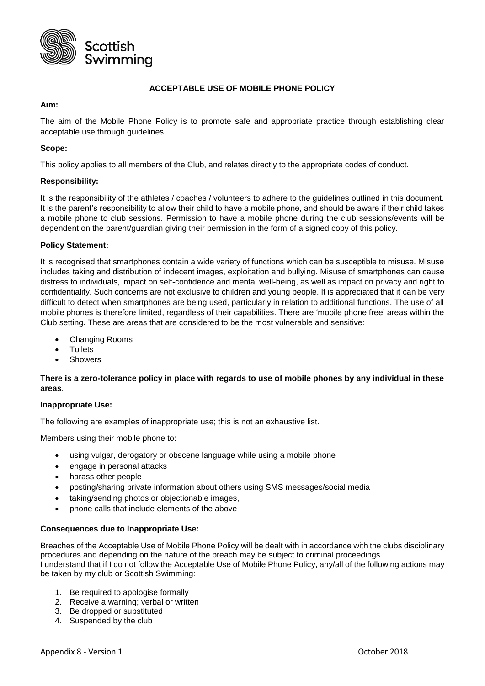

#### **ACCEPTABLE USE OF MOBILE PHONE POLICY**

### **Aim:**

The aim of the Mobile Phone Policy is to promote safe and appropriate practice through establishing clear acceptable use through guidelines.

# **Scope:**

This policy applies to all members of the Club, and relates directly to the appropriate codes of conduct.

# **Responsibility:**

It is the responsibility of the athletes / coaches / volunteers to adhere to the guidelines outlined in this document. It is the parent's responsibility to allow their child to have a mobile phone, and should be aware if their child takes a mobile phone to club sessions. Permission to have a mobile phone during the club sessions/events will be dependent on the parent/guardian giving their permission in the form of a signed copy of this policy.

# **Policy Statement:**

It is recognised that smartphones contain a wide variety of functions which can be susceptible to misuse. Misuse includes taking and distribution of indecent images, exploitation and bullying. Misuse of smartphones can cause distress to individuals, impact on self-confidence and mental well-being, as well as impact on privacy and right to confidentiality. Such concerns are not exclusive to children and young people. It is appreciated that it can be very difficult to detect when smartphones are being used, particularly in relation to additional functions. The use of all mobile phones is therefore limited, regardless of their capabilities. There are 'mobile phone free' areas within the Club setting. These are areas that are considered to be the most vulnerable and sensitive:

- Changing Rooms
- **Toilets**
- Showers

# **There is a zero-tolerance policy in place with regards to use of mobile phones by any individual in these areas**.

#### **Inappropriate Use:**

The following are examples of inappropriate use; this is not an exhaustive list.

Members using their mobile phone to:

- using vulgar, derogatory or obscene language while using a mobile phone
- engage in personal attacks
- harass other people
- posting/sharing private information about others using SMS messages/social media
- taking/sending photos or objectionable images,
- phone calls that include elements of the above

#### **Consequences due to Inappropriate Use:**

Breaches of the Acceptable Use of Mobile Phone Policy will be dealt with in accordance with the clubs disciplinary procedures and depending on the nature of the breach may be subject to criminal proceedings I understand that if I do not follow the Acceptable Use of Mobile Phone Policy, any/all of the following actions may be taken by my club or Scottish Swimming:

- 1. Be required to apologise formally
- 2. Receive a warning; verbal or written
- 3. Be dropped or substituted
- 4. Suspended by the club